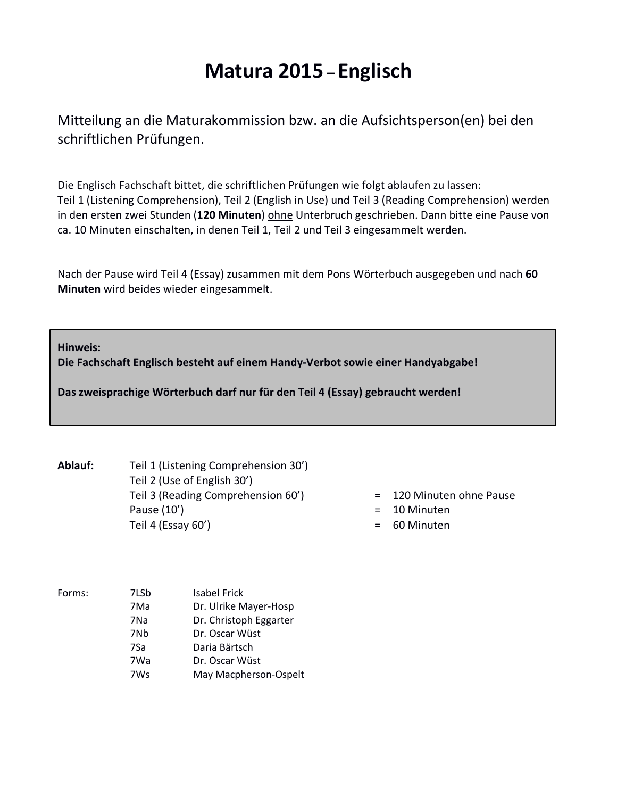# **Matura 2015 – Englisch**

Mitteilung an die Maturakommission bzw. an die Aufsichtsperson(en) bei den schriftlichen Prüfungen.

Die Englisch Fachschaft bittet, die schriftlichen Prüfungen wie folgt ablaufen zu lassen: Teil 1 (Listening Comprehension), Teil 2 (English in Use) und Teil 3 (Reading Comprehension) werden in den ersten zwei Stunden (**120 Minuten**) ohne Unterbruch geschrieben. Dann bitte eine Pause von ca. 10 Minuten einschalten, in denen Teil 1, Teil 2 und Teil 3 eingesammelt werden.

Nach der Pause wird Teil 4 (Essay) zusammen mit dem Pons Wörterbuch ausgegeben und nach **60 Minuten** wird beides wieder eingesammelt.

**Hinweis:**

**Die Fachschaft Englisch besteht auf einem Handy-Verbot sowie einer Handyabgabe!**

**Das zweisprachige Wörterbuch darf nur für den Teil 4 (Essay) gebraucht werden!**

**Ablauf:** Teil 1 (Listening Comprehension 30') Teil 2 (Use of English 30') Teil 3 (Reading Comprehension 60') = 120 Minuten ohne Pause Pause (10')  $=$  10 Minuten Teil 4 (Essay 60') = 60 Minuten

- 
- 
- 

| Forms: | 7LSb | <b>Isabel Frick</b>    |
|--------|------|------------------------|
|        | 7Ma  | Dr. Ulrike Mayer-Hosp  |
|        | 7Na  | Dr. Christoph Eggarter |
|        | 7Nb  | Dr. Oscar Wüst         |
|        | 7Sa  | Daria Bärtsch          |
|        | 7Wa  | Dr. Oscar Wüst         |
|        | 7Ws  | May Macpherson-Ospelt  |
|        |      |                        |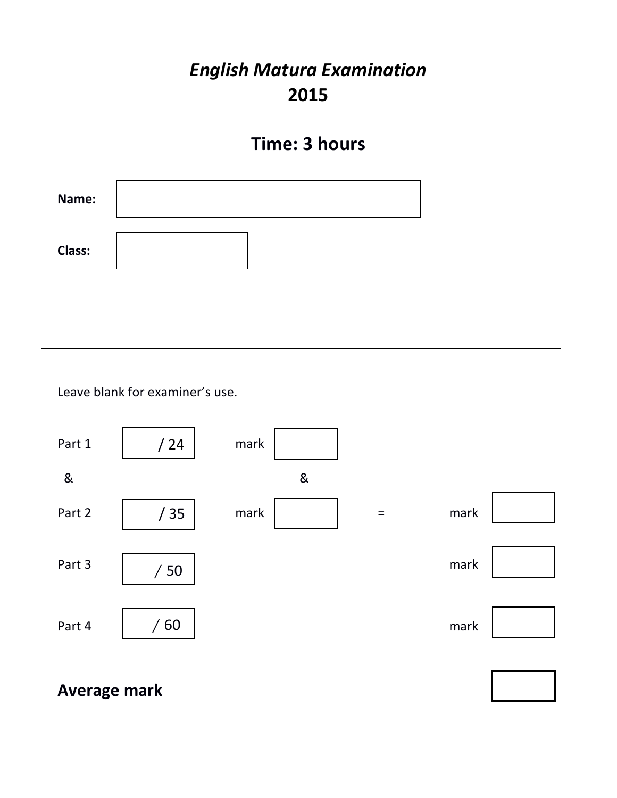# *English Matura Examination* **2015**

# **Time: 3 hours**



Leave blank for examiner's use.



**Average mark**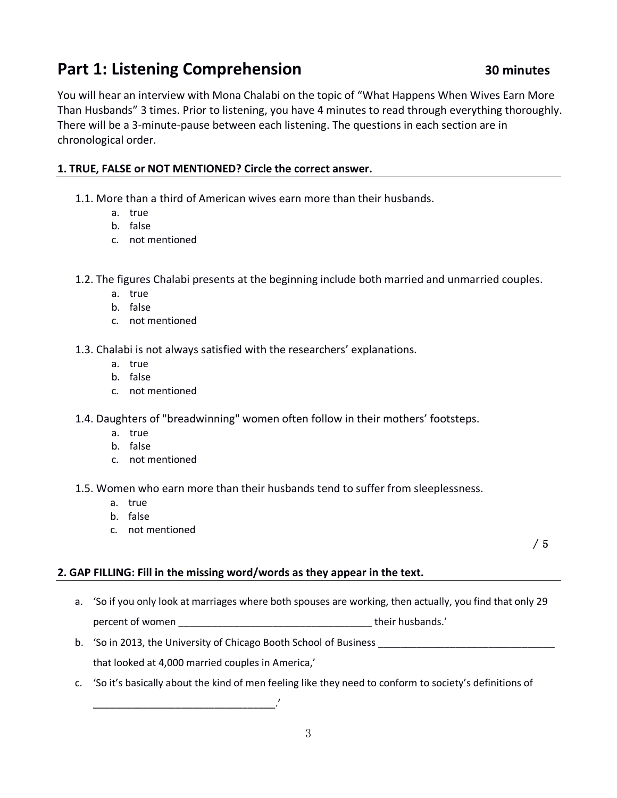# **Part 1: Listening Comprehension 30 minutes**

You will hear an interview with Mona Chalabi on the topic of "What Happens When Wives Earn More Than Husbands" 3 times. Prior to listening, you have 4 minutes to read through everything thoroughly. There will be a 3-minute-pause between each listening. The questions in each section are in chronological order.

## **1. TRUE, FALSE or NOT MENTIONED? Circle the correct answer.**

- 1.1. More than a third of American wives earn more than their husbands.
	- a. true
	- b. false
	- c. not mentioned
- 1.2. The figures Chalabi presents at the beginning include both married and unmarried couples.
	- a. true
	- b. false
	- c. not mentioned
- 1.3. Chalabi is not always satisfied with the researchers' explanations.
	- a. true
	- b. false
	- c. not mentioned
- 1.4. Daughters of "breadwinning" women often follow in their mothers' footsteps.
	- a. true
	- b. false
	- c. not mentioned
- 1.5. Women who earn more than their husbands tend to suffer from sleeplessness.
	- a. true
	- b. false
	- c. not mentioned

/ 5

## **2. GAP FILLING: Fill in the missing word/words as they appear in the text.**

- a. 'So if you only look at marriages where both spouses are working, then actually, you find that only 29 percent of women **percent** of women
- b. 'So in 2013, the University of Chicago Booth School of Business \_\_\_\_\_\_\_\_\_\_\_\_\_\_\_\_\_\_\_\_\_\_\_\_\_\_\_\_\_\_\_\_

that looked at 4,000 married couples in America,'

\_\_\_\_\_\_\_\_\_\_\_\_\_\_\_\_\_\_\_\_\_\_\_\_\_\_\_\_\_\_\_\_\_.'

c. 'So it's basically about the kind of men feeling like they need to conform to society's definitions of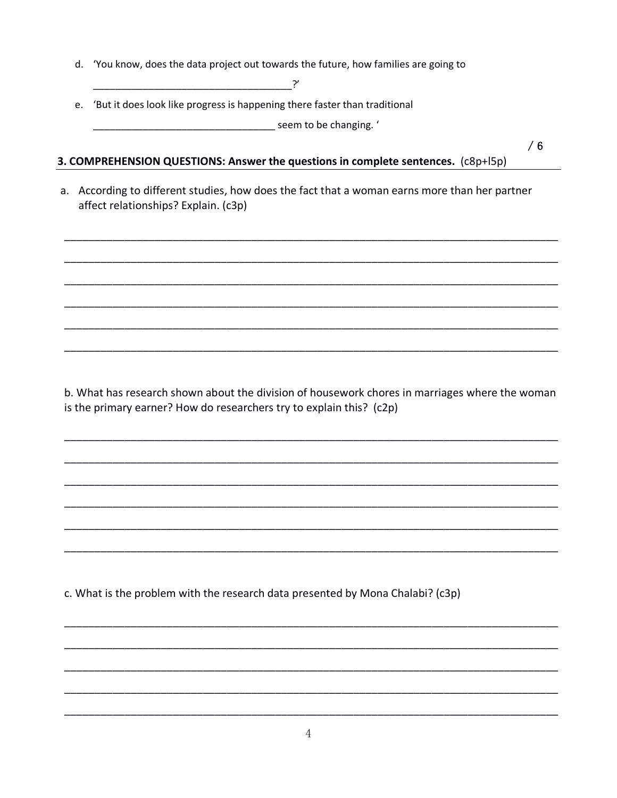d. 'You know, does the data project out towards the future, how families are going to

 $\mathbf{y}$ 

e. 'But it does look like progress is happening there faster than traditional

**Marine 2016** Seem to be changing. '

 $/6$ 

## 3. COMPREHENSION QUESTIONS: Answer the questions in complete sentences. (c8p+l5p)

a. According to different studies, how does the fact that a woman earns more than her partner affect relationships? Explain. (c3p)

b. What has research shown about the division of housework chores in marriages where the woman is the primary earner? How do researchers try to explain this? (c2p)

c. What is the problem with the research data presented by Mona Chalabi? (c3p)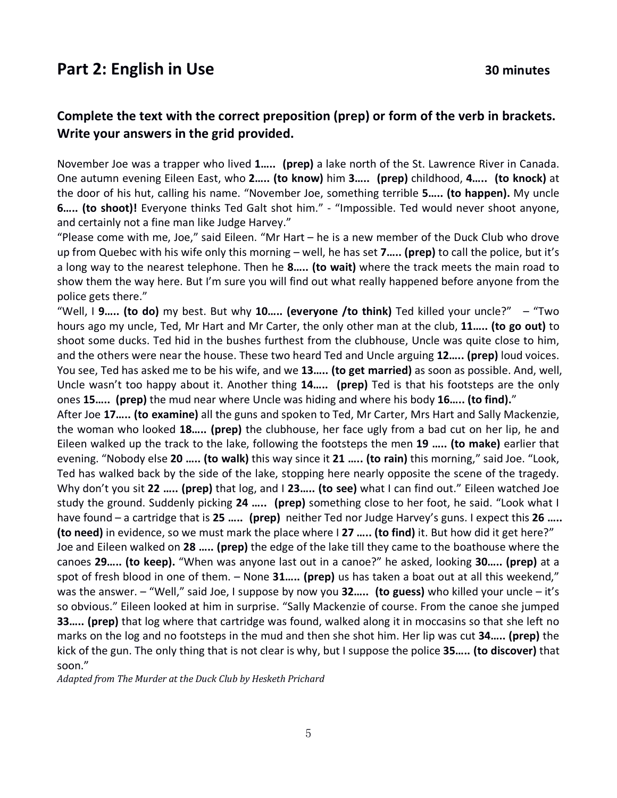# **Part 2: English in Use 30 minutes**

## **Complete the text with the correct preposition (prep) or form of the verb in brackets. Write your answers in the grid provided.**

November Joe was a trapper who lived **1….. (prep)** a lake north of the St. Lawrence River in Canada. One autumn evening Eileen East, who **2….. (to know)** him **3….. (prep)** childhood, **4….. (to knock)** at the door of his hut, calling his name. "November Joe, something terrible **5….. (to happen).** My uncle **6….. (to shoot)!** Everyone thinks Ted Galt shot him." - "Impossible. Ted would never shoot anyone, and certainly not a fine man like Judge Harvey."

"Please come with me, Joe," said Eileen. "Mr Hart – he is a new member of the Duck Club who drove up from Quebec with his wife only this morning – well, he has set **7….. (prep)** to call the police, but it's a long way to the nearest telephone. Then he **8….. (to wait)** where the track meets the main road to show them the way here. But I'm sure you will find out what really happened before anyone from the police gets there."

"Well, I **9….. (to do)** my best. But why **10….. (everyone /to think)** Ted killed your uncle?" – "Two hours ago my uncle, Ted, Mr Hart and Mr Carter, the only other man at the club, **11….. (to go out)** to shoot some ducks. Ted hid in the bushes furthest from the clubhouse, Uncle was quite close to him, and the others were near the house. These two heard Ted and Uncle arguing **12….. (prep)** loud voices. You see, Ted has asked me to be his wife, and we **13….. (to get married)** as soon as possible. And, well, Uncle wasn't too happy about it. Another thing **14….. (prep)** Ted is that his footsteps are the only ones **15….. (prep)** the mud near where Uncle was hiding and where his body **16….. (to find).**"

After Joe **17….. (to examine)** all the guns and spoken to Ted, Mr Carter, Mrs Hart and Sally Mackenzie, the woman who looked **18….. (prep)** the clubhouse, her face ugly from a bad cut on her lip, he and Eileen walked up the track to the lake, following the footsteps the men **19 ….. (to make)** earlier that evening. "Nobody else **20 ….. (to walk)** this way since it **21 ….. (to rain)** this morning," said Joe. "Look, Ted has walked back by the side of the lake, stopping here nearly opposite the scene of the tragedy. Why don't you sit **22 ….. (prep)** that log, and I **23….. (to see)** what I can find out." Eileen watched Joe study the ground. Suddenly picking **24 ….. (prep)** something close to her foot, he said. "Look what I have found – a cartridge that is **25 ….. (prep)** neither Ted nor Judge Harvey's guns. I expect this **26 ….. (to need)** in evidence, so we must mark the place where I **27 ….. (to find)** it. But how did it get here?" Joe and Eileen walked on **28 ….. (prep)** the edge of the lake till they came to the boathouse where the canoes **29….. (to keep).** "When was anyone last out in a canoe?" he asked, looking **30….. (prep)** at a spot of fresh blood in one of them. – None **31….. (prep)** us has taken a boat out at all this weekend," was the answer. – "Well," said Joe, I suppose by now you **32….. (to guess)** who killed your uncle – it's so obvious." Eileen looked at him in surprise. "Sally Mackenzie of course. From the canoe she jumped **33….. (prep)** that log where that cartridge was found, walked along it in moccasins so that she left no marks on the log and no footsteps in the mud and then she shot him. Her lip was cut **34….. (prep)** the kick of the gun. The only thing that is not clear is why, but I suppose the police **35….. (to discover)** that soon."

Adapted from The Murder at the Duck Club by Hesketh Prichard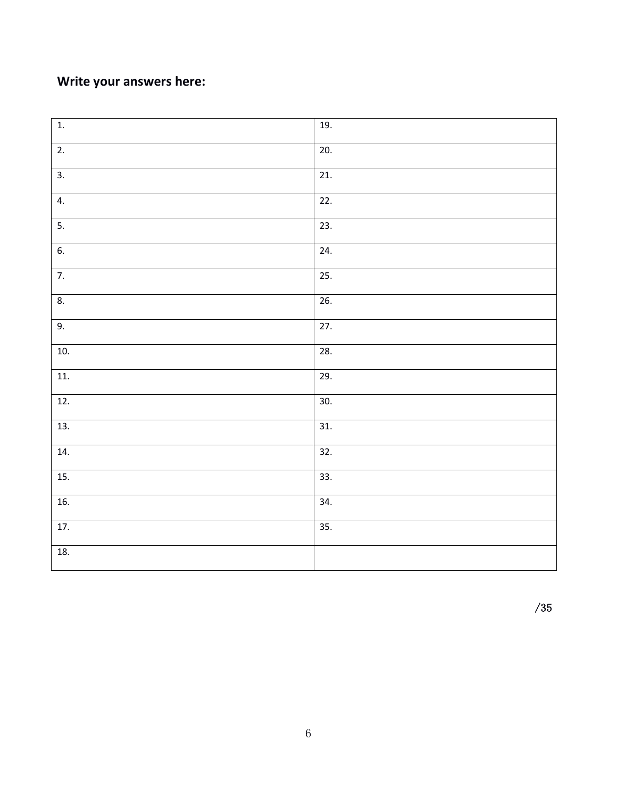# **Write your answers here:**

| $\overline{1}$ . | 19.               |
|------------------|-------------------|
| $\overline{2}$ . | 20.               |
| $\overline{3}$ . | $\overline{21}$ . |
| 4.               | $\overline{22}$ . |
| $\overline{5}$ . | $\overline{23}$ . |
| 6.               | 24.               |
| $\overline{7}$ . | 25.               |
| 8.               | 26.               |
| 9.               | $\overline{27}$ . |
| 10.              | 28.               |
| 11.              | 29.               |
| 12.              | 30.               |
| 13.              | $\overline{31}$ . |
| 14.              | $\overline{32.}$  |
| 15.              | $\overline{33}$ . |
| 16.              | 34.               |
| 17.              | 35.               |
| 18.              |                   |

/35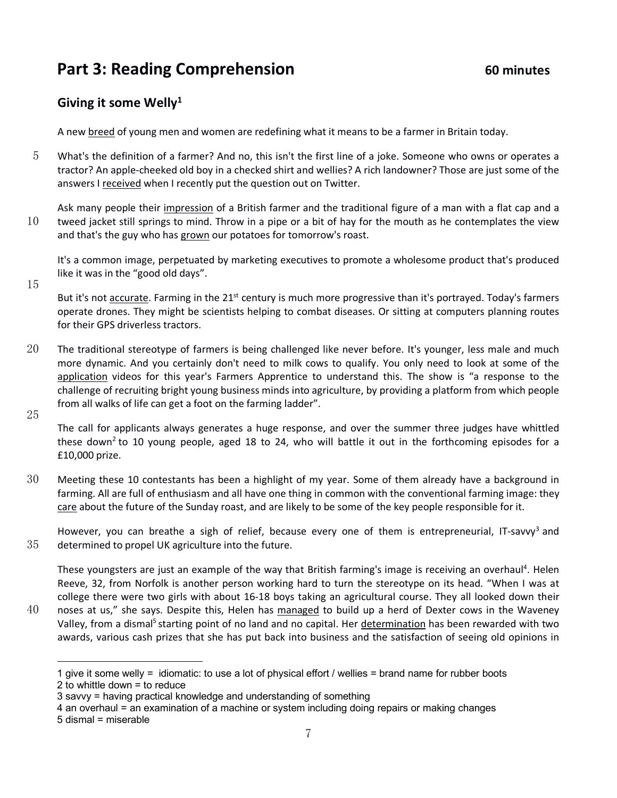# **Part 3: Reading Comprehension** 60 minutes

## **Giving it some Welly1**

A new breed of young men and women are redefining what it means to be a farmer in Britain today.

5 What's the definition of a farmer? And no, this isn't the first line of a joke. Someone who owns or operates a tractor? An apple-cheeked old boy in a checked shirt and wellies? A rich landowner? Those are just some of the answers I received when I recently put the question out on Twitter.

Ask many people their impression of a British farmer and the traditional figure of a man with a flat cap and a 10 tweed jacket still springs to mind. Throw in a pipe or a bit of hay for the mouth as he contemplates the view and that's the guy who has grown our potatoes for tomorrow's roast.

It's a common image, perpetuated by marketing executives to promote a wholesome product that's produced like it was in the "good old days".

15

But it's not accurate. Farming in the 21<sup>st</sup> century is much more progressive than it's portrayed. Today's farmers operate drones. They might be scientists helping to combat diseases. Or sitting at computers planning routes for their GPS driverless tractors.

- 20 The traditional stereotype of farmers is being challenged like never before. It's younger, less male and much more dynamic. And you certainly don't need to milk cows to qualify. You only need to look at some of the application videos for this year's Farmers Apprentice to understand this. The show is "a response to the challenge of recruiting bright young business minds into agriculture, by providing a platform from which people from all walks of life can get a foot on the farming ladder".
- 25

The call for applicants always generates a huge response, and over the summer three judges have whittled these down<sup>2</sup> to 10 young people, aged 18 to 24, who will battle it out in the forthcoming episodes for a £10,000 prize.

30 Meeting these 10 contestants has been a highlight of my year. Some of them already have a background in farming. All are full of enthusiasm and all have one thing in common with the conventional farming image: they care about the future of the Sunday roast, and are likely to be some of the key people responsible for it.

However, you can breathe a sigh of relief, because every one of them is entrepreneurial, IT-savvy<sup>3</sup> and 35 determined to propel UK agriculture into the future.

These youngsters are just an example of the way that British farming's image is receiving an overhaul<sup>4</sup>. Helen Reeve, 32, from Norfolk is another person working hard to turn the stereotype on its head. "When I was at college there were two girls with about 16-18 boys taking an agricultural course. They all looked down their 40 noses at us," she says. Despite this, Helen has managed to build up a herd of Dexter cows in the Waveney Valley, from a dismal<sup>5</sup> starting point of no land and no capital. Her determination has been rewarded with two awards, various cash prizes that she has put back into business and the satisfaction of seeing old opinions in

l

<sup>1</sup> give it some welly = idiomatic: to use a lot of physical effort / wellies = brand name for rubber boots 2 to whittle down = to reduce

<sup>3</sup> savvy = having practical knowledge and understanding of something

<sup>4</sup> an overhaul = an examination of a machine or system including doing repairs or making changes

<sup>5</sup> dismal = miserable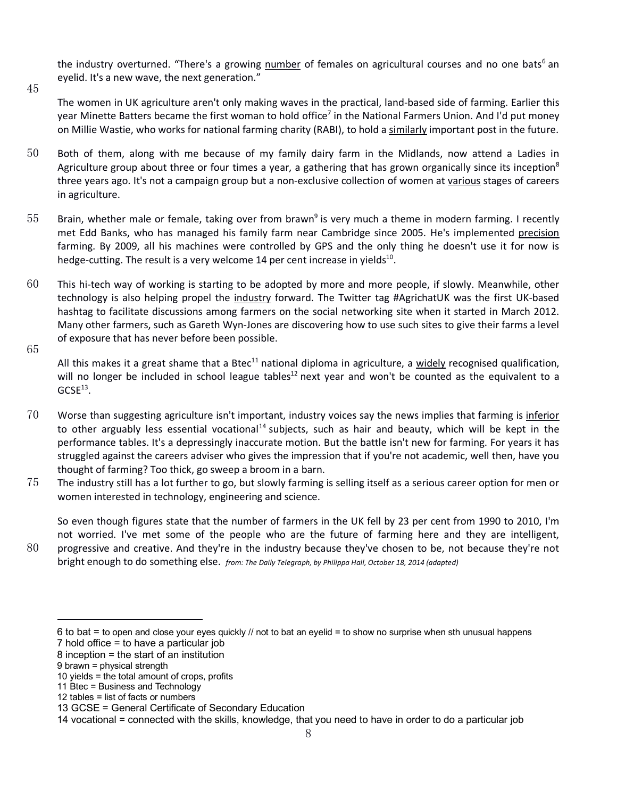the industry overturned. "There's a growing number of females on agricultural courses and no one bats<sup>6</sup> an eyelid. It's a new wave, the next generation."

The women in UK agriculture aren't only making waves in the practical, land-based side of farming. Earlier this year Minette Batters became the first woman to hold office<sup>7</sup> in the National Farmers Union. And I'd put money on Millie Wastie, who works for national farming charity (RABI), to hold a similarly important post in the future.

- 50 Both of them, along with me because of my family dairy farm in the Midlands, now attend a Ladies in Agriculture group about three or four times a year, a gathering that has grown organically since its inception<sup>8</sup> three years ago. It's not a campaign group but a non-exclusive collection of women at various stages of careers in agriculture.
- 55 Brain, whether male or female, taking over from brawn<sup>9</sup> is very much a theme in modern farming. I recently met Edd Banks, who has managed his family farm near Cambridge since 2005. He's implemented precision farming. By 2009, all his machines were controlled by GPS and the only thing he doesn't use it for now is hedge-cutting. The result is a very welcome 14 per cent increase in yields $^{10}$ .
- 60 This hi-tech way of working is starting to be adopted by more and more people, if slowly. Meanwhile, other technology is also helping propel the industry forward. The Twitter tag #AgrichatUK was the first UK-based hashtag to facilitate discussions among farmers on the social networking site when it started in March 2012. Many other farmers, such as Gareth Wyn-Jones are discovering how to use such sites to give their farms a level of exposure that has never before been possible.
- 65

45

All this makes it a great shame that a Btec<sup>11</sup> national diploma in agriculture, a widely recognised qualification, will no longer be included in school league tables<sup>12</sup> next year and won't be counted as the equivalent to a  $GCSE<sup>13</sup>$ .

- 70 Worse than suggesting agriculture isn't important, industry voices say the news implies that farming is *inferior* to other arguably less essential vocational<sup>14</sup> subjects, such as hair and beauty, which will be kept in the performance tables. It's a depressingly inaccurate motion. But the battle isn't new for farming. For years it has struggled against the careers adviser who gives the impression that if you're not academic, well then, have you thought of farming? Too thick, go sweep a broom in a barn.
- 75 The industry still has a lot further to go, but slowly farming is selling itself as a serious career option for men or women interested in technology, engineering and science.

So even though figures state that the number of farmers in the UK fell by 23 per cent from 1990 to 2010, I'm not worried. I've met some of the people who are the future of farming here and they are intelligent,

80 progressive and creative. And they're in the industry because they've chosen to be, not because they're not bright enough to do something else. *from: The Daily Telegraph, by Philippa Hall, October 18, 2014 (adapted)*

l

<sup>6</sup> to bat = to open and close your eyes quickly // not to bat an eyelid = to show no surprise when sth unusual happens

<sup>7</sup> hold office = to have a particular job 8 inception = the start of an institution

<sup>9</sup> brawn = physical strength

<sup>10</sup> yields = the total amount of crops, profits

<sup>11</sup> Btec = Business and Technology

<sup>12</sup> tables = list of facts or numbers

<sup>13</sup> GCSE = General Certificate of Secondary Education

<sup>14</sup> vocational = connected with the skills, knowledge, that you need to have in order to do a particular job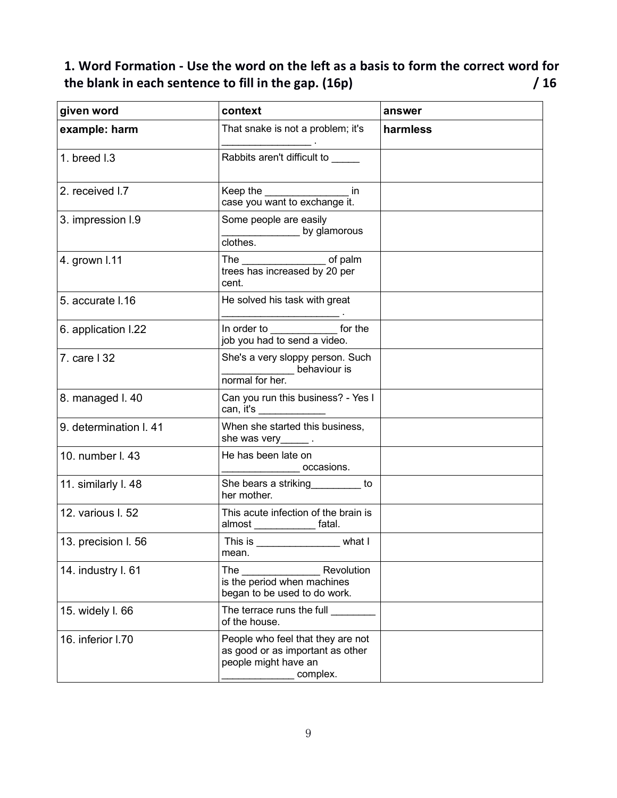# **1. Word Formation - Use the word on the left as a basis to form the correct word for the blank in each sentence to fill in the gap. (16p) / 16**

| given word             | context                                                                                                   | answer   |
|------------------------|-----------------------------------------------------------------------------------------------------------|----------|
| example: harm          | That snake is not a problem; it's<br>$\overline{\phantom{a}}$ . The contract of $\overline{\phantom{a}}$  | harmless |
| 1. breed I.3           | Rabbits aren't difficult to                                                                               |          |
| 2. received I.7        | Keep the ___________________ in<br>case you want to exchange it.                                          |          |
| 3. impression I.9      | Some people are easily<br>by glamorous<br>clothes.                                                        |          |
| 4. grown I.11          | The ______________________ of palm<br>trees has increased by 20 per<br>cent.                              |          |
| 5. accurate I.16       | He solved his task with great                                                                             |          |
| 6. application I.22    | In order to _______________ for the<br>job you had to send a video.                                       |          |
| 7. care   32           | She's a very sloppy person. Such<br>behaviour is<br>normal for her.                                       |          |
| 8. managed I. 40       | Can you run this business? - Yes I<br>can, it's _____________                                             |          |
| 9. determination I. 41 | When she started this business,                                                                           |          |
| 10. number I. 43       | He has been late on<br>__________________ occasions.                                                      |          |
| 11. similarly I. 48    | She bears a striking<br><u>Letter</u> to<br>her mother.                                                   |          |
| 12. various I. 52      | This acute infection of the brain is<br>almost ______________ fatal.                                      |          |
| 13. precision I. 56    | This is _____________________ what I<br>mean.                                                             |          |
| 14. industry I. 61     | Revolution<br>The<br>is the period when machines<br>began to be used to do work.                          |          |
| 15. widely I. 66       | The terrace runs the full<br>of the house.                                                                |          |
| 16. inferior I.70      | People who feel that they are not<br>as good or as important as other<br>people might have an<br>complex. |          |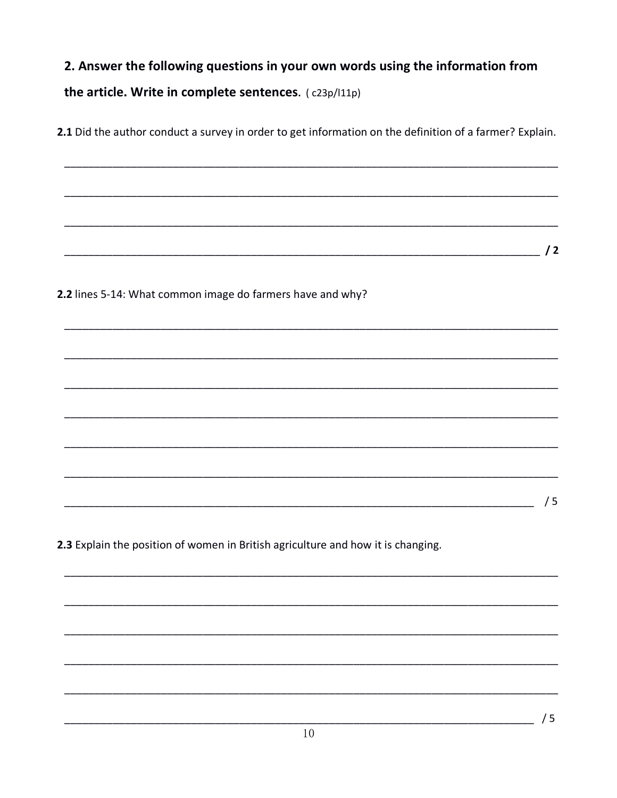# 2. Answer the following questions in your own words using the information from the article. Write in complete sentences. (c23p/l11p)

2.1 Did the author conduct a survey in order to get information on the definition of a farmer? Explain.

 $\sqrt{2}$ 

2.2 lines 5-14: What common image do farmers have and why?

2.3 Explain the position of women in British agriculture and how it is changing.

 $/5$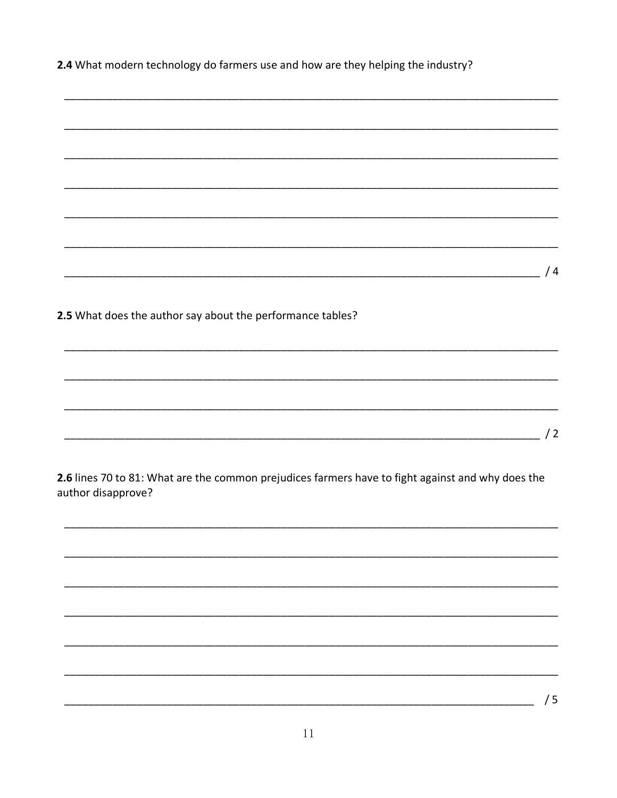2.4 What modern technology do farmers use and how are they helping the industry?

|                                                                                                   |  |  | /4 |
|---------------------------------------------------------------------------------------------------|--|--|----|
|                                                                                                   |  |  |    |
|                                                                                                   |  |  |    |
| 2.5 What does the author say about the performance tables?                                        |  |  |    |
|                                                                                                   |  |  |    |
|                                                                                                   |  |  |    |
|                                                                                                   |  |  |    |
|                                                                                                   |  |  |    |
|                                                                                                   |  |  |    |
|                                                                                                   |  |  |    |
|                                                                                                   |  |  |    |
|                                                                                                   |  |  | /2 |
|                                                                                                   |  |  |    |
|                                                                                                   |  |  |    |
| 2.6 lines 70 to 81: What are the common prejudices farmers have to fight against and why does the |  |  |    |
| author disapprove?                                                                                |  |  |    |
|                                                                                                   |  |  |    |
|                                                                                                   |  |  |    |
|                                                                                                   |  |  |    |
|                                                                                                   |  |  |    |
|                                                                                                   |  |  |    |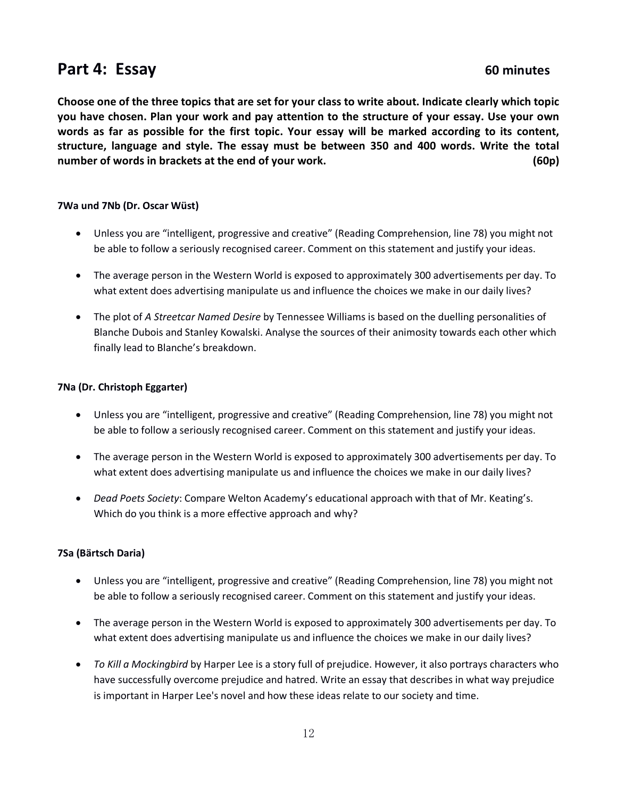# Part 4: Essay **60 minutes**

**Choose one of the three topics that are set for your class to write about. Indicate clearly which topic you have chosen. Plan your work and pay attention to the structure of your essay. Use your own words as far as possible for the first topic. Your essay will be marked according to its content, structure, language and style. The essay must be between 350 and 400 words. Write the total number of words in brackets at the end of your work. (60p)**

#### **7Wa und 7Nb (Dr. Oscar Wüst)**

- Unless you are "intelligent, progressive and creative" (Reading Comprehension, line 78) you might not be able to follow a seriously recognised career. Comment on this statement and justify your ideas.
- The average person in the Western World is exposed to approximately 300 advertisements per day. To what extent does advertising manipulate us and influence the choices we make in our daily lives?
- The plot of *A Streetcar Named Desire* by Tennessee Williams is based on the duelling personalities of Blanche Dubois and Stanley Kowalski. Analyse the sources of their animosity towards each other which finally lead to Blanche's breakdown.

#### **7Na (Dr. Christoph Eggarter)**

- Unless you are "intelligent, progressive and creative" (Reading Comprehension, line 78) you might not be able to follow a seriously recognised career. Comment on this statement and justify your ideas.
- The average person in the Western World is exposed to approximately 300 advertisements per day. To what extent does advertising manipulate us and influence the choices we make in our daily lives?
- *Dead Poets Society*: Compare Welton Academy's educational approach with that of Mr. Keating's. Which do you think is a more effective approach and why?

#### **7Sa (Bärtsch Daria)**

- Unless you are "intelligent, progressive and creative" (Reading Comprehension, line 78) you might not be able to follow a seriously recognised career. Comment on this statement and justify your ideas.
- The average person in the Western World is exposed to approximately 300 advertisements per day. To what extent does advertising manipulate us and influence the choices we make in our daily lives?
- *To Kill a Mockingbird* by Harper Lee is a story full of prejudice. However, it also portrays characters who have successfully overcome prejudice and hatred. Write an essay that describes in what way prejudice is important in Harper Lee's novel and how these ideas relate to our society and time.